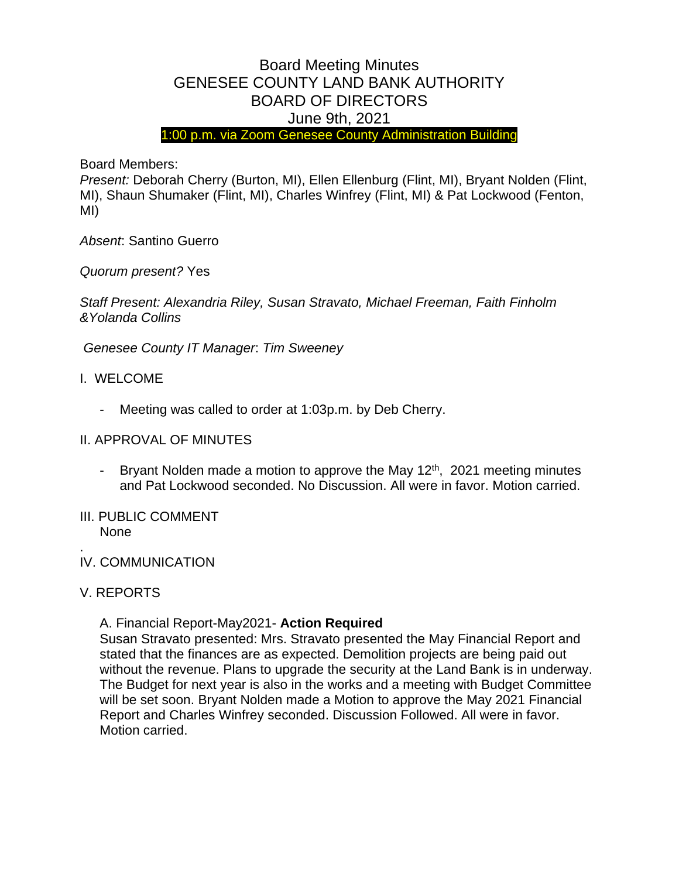# Board Meeting Minutes GENESEE COUNTY LAND BANK AUTHORITY BOARD OF DIRECTORS June 9th, 2021

1:00 p.m. via Zoom Genesee County Administration Building

Board Members:

*Present:* Deborah Cherry (Burton, MI), Ellen Ellenburg (Flint, MI), Bryant Nolden (Flint, MI), Shaun Shumaker (Flint, MI), Charles Winfrey (Flint, MI) & Pat Lockwood (Fenton, MI)

*Absent*: Santino Guerro

*Quorum present?* Yes

*Staff Present: Alexandria Riley, Susan Stravato, Michael Freeman, Faith Finholm &Yolanda Collins*

*Genesee County IT Manager*: *Tim Sweeney* 

- I. WELCOME
	- Meeting was called to order at 1:03p.m. by Deb Cherry.

### II. APPROVAL OF MINUTES

- Bryant Nolden made a motion to approve the May  $12<sup>th</sup>$ , 2021 meeting minutes and Pat Lockwood seconded. No Discussion. All were in favor. Motion carried.
- III. PUBLIC COMMENT None
- IV. COMMUNICATION

# V. REPORTS

.

A. Financial Report-May2021- **Action Required**

Susan Stravato presented: Mrs. Stravato presented the May Financial Report and stated that the finances are as expected. Demolition projects are being paid out without the revenue. Plans to upgrade the security at the Land Bank is in underway. The Budget for next year is also in the works and a meeting with Budget Committee will be set soon. Bryant Nolden made a Motion to approve the May 2021 Financial Report and Charles Winfrey seconded. Discussion Followed. All were in favor. Motion carried.